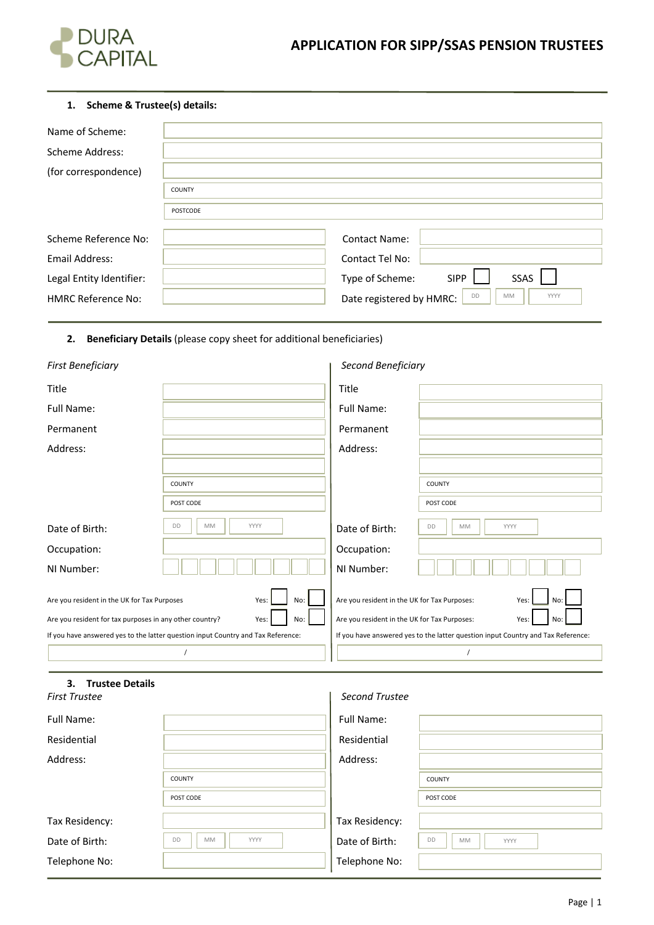

# **1. Scheme & Trustee(s) details:**

| Name of Scheme:           |               |                                              |
|---------------------------|---------------|----------------------------------------------|
| Scheme Address:           |               |                                              |
| (for correspondence)      |               |                                              |
|                           | <b>COUNTY</b> |                                              |
|                           | POSTCODE      |                                              |
|                           |               |                                              |
| Scheme Reference No:      |               | <b>Contact Name:</b>                         |
| Email Address:            |               | Contact Tel No:                              |
| Legal Entity Identifier:  |               | SSAS<br><b>SIPP</b><br>Type of Scheme:       |
| <b>HMRC Reference No:</b> |               | DD<br>MM<br>YYYY<br>Date registered by HMRC: |

# **2. Beneficiary Details** (please copy sheet for additional beneficiaries)

| <b>First Beneficiary</b>                                               |                                                                                  | Second Beneficiary                           |                                                                                  |
|------------------------------------------------------------------------|----------------------------------------------------------------------------------|----------------------------------------------|----------------------------------------------------------------------------------|
| Title                                                                  |                                                                                  | Title                                        |                                                                                  |
| Full Name:                                                             |                                                                                  | Full Name:                                   |                                                                                  |
| Permanent                                                              |                                                                                  | Permanent                                    |                                                                                  |
| Address:                                                               |                                                                                  | Address:                                     |                                                                                  |
|                                                                        |                                                                                  |                                              |                                                                                  |
|                                                                        | COUNTY                                                                           |                                              | COUNTY                                                                           |
|                                                                        | POST CODE                                                                        |                                              | POST CODE                                                                        |
| Date of Birth:                                                         | <b>MM</b><br>YYYY<br>DD                                                          | Date of Birth:                               | <b>MM</b><br>DD<br>YYYY                                                          |
| Occupation:                                                            |                                                                                  | Occupation:                                  |                                                                                  |
| NI Number:                                                             |                                                                                  | NI Number:                                   |                                                                                  |
| Are you resident in the UK for Tax Purposes                            | No:<br>Yes:                                                                      | Are you resident in the UK for Tax Purposes: | Yes:<br>No:                                                                      |
| Are you resident for tax purposes in any other country?<br>No:<br>Yes: |                                                                                  | Are you resident in the UK for Tax Purposes: | No:<br>Yes:                                                                      |
|                                                                        | If you have answered yes to the latter question input Country and Tax Reference: |                                              | If you have answered yes to the latter question input Country and Tax Reference: |
|                                                                        |                                                                                  |                                              |                                                                                  |

# **3. Trustee Details**

# *First Trustee Second Trustee*

| Full Name:     |                                | Full Name:     |                                |
|----------------|--------------------------------|----------------|--------------------------------|
| Residential    |                                | Residential    |                                |
| Address:       |                                | Address:       |                                |
|                | COUNTY                         |                | COUNTY                         |
|                | POST CODE                      |                | POST CODE                      |
| Tax Residency: |                                | Tax Residency: |                                |
| Date of Birth: | DD<br><b>YYYY</b><br><b>MM</b> | Date of Birth: | <b>DD</b><br><b>MM</b><br>YYYY |
| Telephone No:  |                                | Telephone No:  |                                |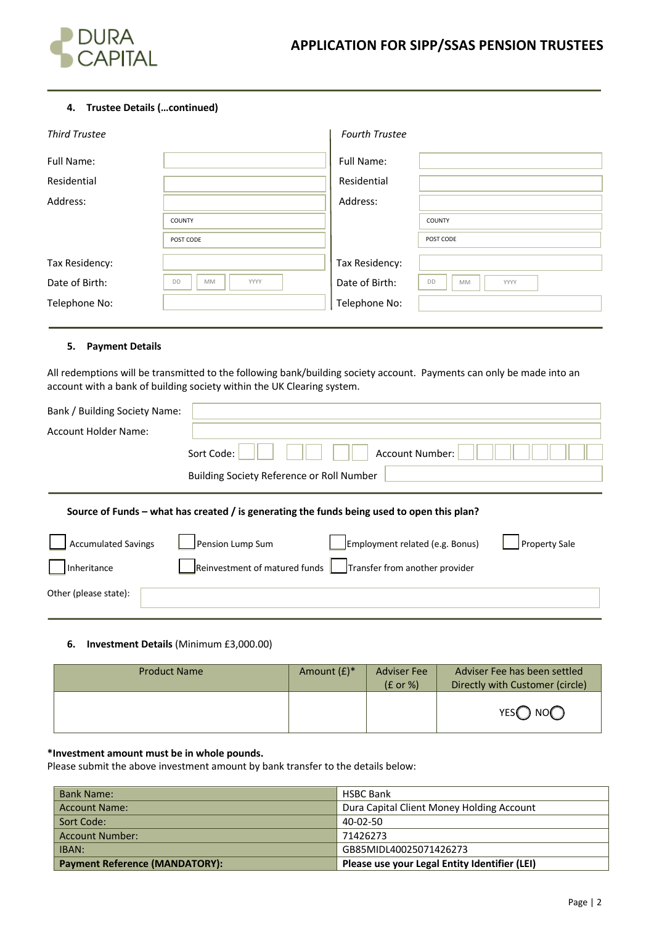

# **4. Trustee Details (…continued)**

| <b>Third Trustee</b> |                  | <b>Fourth Trustee</b> |                         |
|----------------------|------------------|-----------------------|-------------------------|
| Full Name:           |                  | <b>Full Name:</b>     |                         |
| Residential          |                  | Residential           |                         |
| Address:             |                  | Address:              |                         |
|                      | <b>COUNTY</b>    |                       | <b>COUNTY</b>           |
|                      | POST CODE        |                       | POST CODE               |
| Tax Residency:       |                  | Tax Residency:        |                         |
| Date of Birth:       | DD<br>MM<br>YYYY | Date of Birth:        | DD<br>MM<br><b>YYYY</b> |
| Telephone No:        |                  | Telephone No:         |                         |

# **5. Payment Details**

All redemptions will be transmitted to the following bank/building society account. Payments can only be made into an account with a bank of building society within the UK Clearing system.

| Bank / Building Society Name: |                                                                                            |  |  |
|-------------------------------|--------------------------------------------------------------------------------------------|--|--|
| Account Holder Name:          |                                                                                            |  |  |
|                               | Sort Code:<br>Account Number:                                                              |  |  |
|                               | Building Society Reference or Roll Number                                                  |  |  |
|                               | Source of Funds – what has created / is generating the funds being used to open this plan? |  |  |
| <b>Accumulated Savings</b>    | Pension Lump Sum<br>Employment related (e.g. Bonus)<br><b>Property Sale</b>                |  |  |
| Inheritance                   | Reinvestment of matured funds<br>Transfer from another provider                            |  |  |
| Other (please state):         |                                                                                            |  |  |

# **6. Investment Details** (Minimum £3,000.00)

| <b>Product Name</b> | Amount $(E)^*$ | <b>Adviser Fee</b><br>$(E \text{ or } \%)$ | Adviser Fee has been settled<br>Directly with Customer (circle) |
|---------------------|----------------|--------------------------------------------|-----------------------------------------------------------------|
|                     |                |                                            | YES $\bigcap$ NO $\bigcap$                                      |

# **\*Investment amount must be in whole pounds.**

Please submit the above investment amount by bank transfer to the details below:

| <b>Bank Name:</b>                     | <b>HSBC Bank</b>                              |
|---------------------------------------|-----------------------------------------------|
| <b>Account Name:</b>                  | Dura Capital Client Money Holding Account     |
| Sort Code:                            | 40-02-50                                      |
| Account Number:                       | 71426273                                      |
| IBAN:                                 | GB85MIDL40025071426273                        |
| <b>Payment Reference (MANDATORY):</b> | Please use your Legal Entity Identifier (LEI) |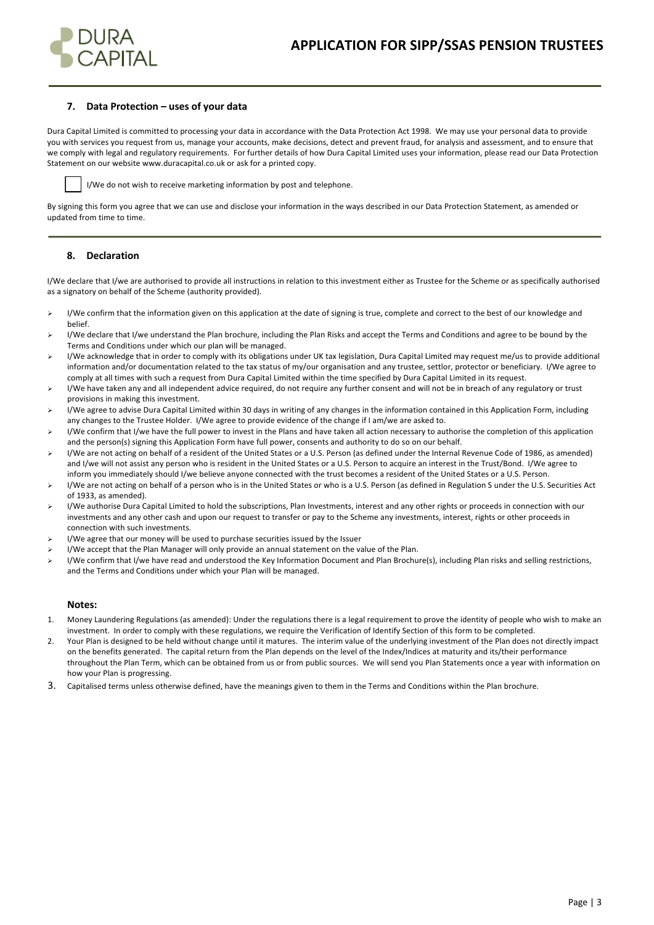

### **7. Data Protection – uses of your data**

Dura Capital Limited is committed to processing your data in accordance with the Data Protection Act 1998. We may use your personal data to provide you with services you request from us, manage your accounts, make decisions, detect and prevent fraud, for analysis and assessment, and to ensure that we comply with legal and regulatory requirements. For further details of how Dura Capital Limited uses your information, please read our Data Protection Statement on our website www.duracapital.co.uk or ask for a printed copy.



I/We do not wish to receive marketing information by post and telephone.

By signing this form you agree that we can use and disclose your information in the ways described in our Data Protection Statement, as amended or updated from time to time.

### **8. Declaration**

I/We declare that I/we are authorised to provide all instructions in relation to this investment either as Trustee for the Scheme or as specifically authorised as a signatory on behalf of the Scheme (authority provided).

- ▶ I/We confirm that the information given on this application at the date of signing is true, complete and correct to the best of our knowledge and belief.
- ▶ I/We declare that I/we understand the Plan brochure, including the Plan Risks and accept the Terms and Conditions and agree to be bound by the Terms and Conditions under which our plan will be managed.
- > I/We acknowledge that in order to comply with its obligations under UK tax legislation, Dura Capital Limited may request me/us to provide additional information and/or documentation related to the tax status of my/our organisation and any trustee, settlor, protector or beneficiary. I/We agree to comply at all times with such a request from Dura Capital Limited within the time specified by Dura Capital Limited in its request.
- > I/We have taken any and all independent advice required, do not require any further consent and will not be in breach of any regulatory or trust provisions in making this investment.
- I/We agree to advise Dura Capital Limited within 30 days in writing of any changes in the information contained in this Application Form, including any changes to the Trustee Holder. I/We agree to provide evidence of the change if I am/we are asked to.
- ▶ I/We confirm that I/we have the full power to invest in the Plans and have taken all action necessary to authorise the completion of this application and the person(s) signing this Application Form have full power, consents and authority to do so on our behalf.
- $\triangleright$  I/We are not acting on behalf of a resident of the United States or a U.S. Person (as defined under the Internal Revenue Code of 1986, as amended) and I/we will not assist any person who is resident in the United States or a U.S. Person to acquire an interest in the Trust/Bond. I/We agree to inform you immediately should I/we believe anyone connected with the trust becomes a resident of the United States or a U.S. Person.
- $\triangleright$  I/We are not acting on behalf of a person who is in the United States or who is a U.S. Person (as defined in Regulation S under the U.S. Securities Act of 1933, as amended).
- $\triangleright$  I/We authorise Dura Capital Limited to hold the subscriptions, Plan Investments, interest and any other rights or proceeds in connection with our investments and any other cash and upon our request to transfer or pay to the Scheme any investments, interest, rights or other proceeds in connection with such investments.
- $\triangleright$  I/We agree that our money will be used to purchase securities issued by the Issuer
- I/We accept that the Plan Manager will only provide an annual statement on the value of the Plan.
- ▶ I/We confirm that I/we have read and understood the Key Information Document and Plan Brochure(s), including Plan risks and selling restrictions, and the Terms and Conditions under which your Plan will be managed.

#### **Notes:**

- 1. Money Laundering Regulations (as amended): Under the regulations there is a legal requirement to prove the identity of people who wish to make an investment. In order to comply with these regulations, we require the Verification of Identify Section of this form to be completed.
- 2. Your Plan is designed to be held without change until it matures. The interim value of the underlying investment of the Plan does not directly impact on the benefits generated. The capital return from the Plan depends on the level of the Index/Indices at maturity and its/their performance throughout the Plan Term, which can be obtained from us or from public sources. We will send you Plan Statements once a year with information on how your Plan is progressing.
- 3. Capitalised terms unless otherwise defined, have the meanings given to them in the Terms and Conditions within the Plan brochure.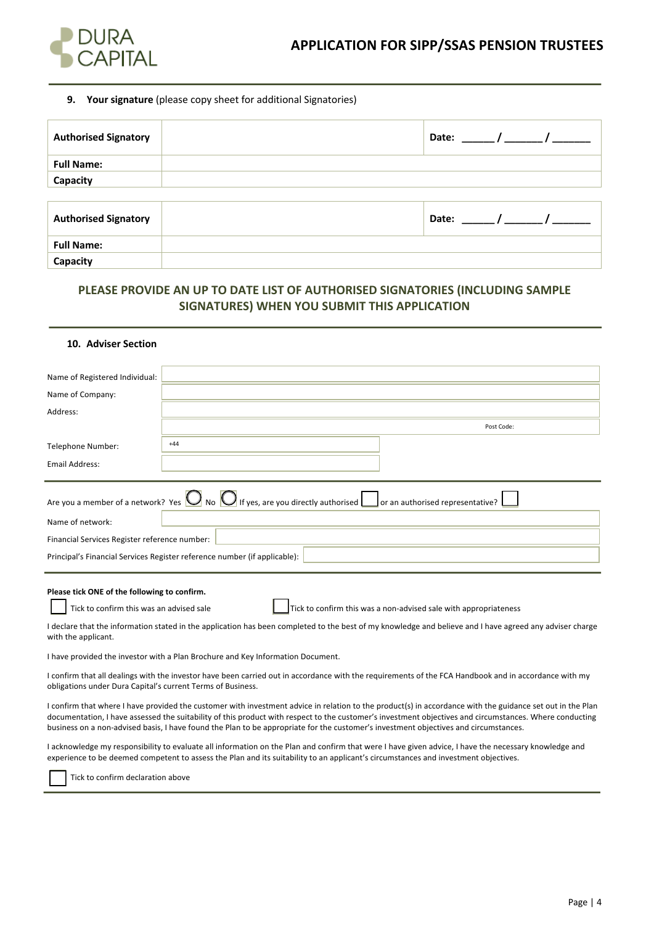

### **9. Your signature** (please copy sheet for additional Signatories)

| <b>Authorised Signatory</b> | Date: $/$ / |  |
|-----------------------------|-------------|--|
| <b>Full Name:</b>           |             |  |
| Capacity                    |             |  |
|                             |             |  |
| <b>Authorised Signatory</b> | Date:       |  |
| <b>Full Name:</b>           |             |  |
| Capacity                    |             |  |

# **PLEASE PROVIDE AN UP TO DATE LIST OF AUTHORISED SIGNATORIES (INCLUDING SAMPLE SIGNATURES) WHEN YOU SUBMIT THIS APPLICATION**

## **10. Adviser Section**

| Name of Registered Individual:                                                           |                                                                                                                                                                                                                          |  |
|------------------------------------------------------------------------------------------|--------------------------------------------------------------------------------------------------------------------------------------------------------------------------------------------------------------------------|--|
| Name of Company:                                                                         |                                                                                                                                                                                                                          |  |
| Address:                                                                                 |                                                                                                                                                                                                                          |  |
|                                                                                          | Post Code:                                                                                                                                                                                                               |  |
| Telephone Number:                                                                        | $+44$                                                                                                                                                                                                                    |  |
| Email Address:                                                                           |                                                                                                                                                                                                                          |  |
| Name of network:<br>Financial Services Register reference number:                        | Are you a member of a network? Yes $\bigcirc$ No $\bigcirc$ If yes, are you directly authorised $\bigcirc$ or an authorised representative?<br>Principal's Financial Services Register reference number (if applicable): |  |
| Please tick ONE of the following to confirm.<br>Tick to confirm this was an advised sale | Tick to confirm this was a non-advised sale with appropriateness                                                                                                                                                         |  |

I declare that the information stated in the application has been completed to the best of my knowledge and believe and I have agreed any adviser charge with the applicant.

I have provided the investor with a Plan Brochure and Key Information Document.

I confirm that all dealings with the investor have been carried out in accordance with the requirements of the FCA Handbook and in accordance with my obligations under Dura Capital's current Terms of Business.

I confirm that where I have provided the customer with investment advice in relation to the product(s) in accordance with the guidance set out in the Plan documentation, I have assessed the suitability of this product with respect to the customer's investment objectives and circumstances. Where conducting business on a non-advised basis, I have found the Plan to be appropriate for the customer's investment objectives and circumstances.

I acknowledge my responsibility to evaluate all information on the Plan and confirm that were I have given advice, I have the necessary knowledge and experience to be deemed competent to assess the Plan and its suitability to an applicant's circumstances and investment objectives.

Tick to confirm declaration above